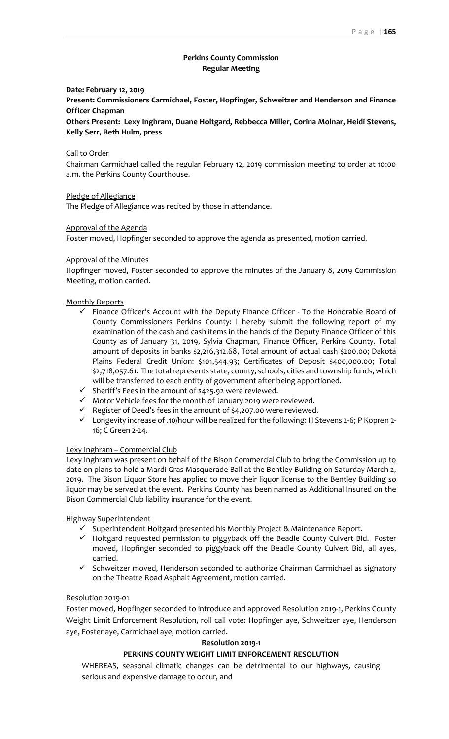# **Perkins County Commission Regular Meeting**

# **Date: February 12, 2019**

**Present: Commissioners Carmichael, Foster, Hopfinger, Schweitzer and Henderson and Finance Officer Chapman**

**Others Present: Lexy Inghram, Duane Holtgard, Rebbecca Miller, Corina Molnar, Heidi Stevens, Kelly Serr, Beth Hulm, press**

# Call to Order

Chairman Carmichael called the regular February 12, 2019 commission meeting to order at 10:00 a.m. the Perkins County Courthouse.

Pledge of Allegiance

The Pledge of Allegiance was recited by those in attendance.

# Approval of the Agenda

Foster moved, Hopfinger seconded to approve the agenda as presented, motion carried.

# Approval of the Minutes

Hopfinger moved, Foster seconded to approve the minutes of the January 8, 2019 Commission Meeting, motion carried.

# Monthly Reports

- $\checkmark$  Finance Officer's Account with the Deputy Finance Officer To the Honorable Board of County Commissioners Perkins County: I hereby submit the following report of my examination of the cash and cash items in the hands of the Deputy Finance Officer of this County as of January 31, 2019, Sylvia Chapman, Finance Officer, Perkins County. Total amount of deposits in banks \$2,216,312.68, Total amount of actual cash \$200.00; Dakota Plains Federal Credit Union: \$101,544.93; Certificates of Deposit \$400,000.00; Total \$2,718,057.61. The total represents state, county, schools, cities and township funds, which will be transferred to each entity of government after being apportioned.
- $\checkmark$  Sheriff's Fees in the amount of \$425.92 were reviewed.
- ✓ Motor Vehicle fees for the month of January 2019 were reviewed.
- $\checkmark$  Register of Deed's fees in the amount of \$4,207.00 were reviewed.
- ✓ Longevity increase of .10/hour will be realized for the following: H Stevens 2-6; P Kopren 2- 16; C Green 2-24.

### Lexy Inghram – Commercial Club

Lexy Inghram was present on behalf of the Bison Commercial Club to bring the Commission up to date on plans to hold a Mardi Gras Masquerade Ball at the Bentley Building on Saturday March 2, 2019. The Bison Liquor Store has applied to move their liquor license to the Bentley Building so liquor may be served at the event. Perkins County has been named as Additional Insured on the Bison Commercial Club liability insurance for the event.

### Highway Superintendent

- ✓ Superintendent Holtgard presented his Monthly Project & Maintenance Report.
- ✓ Holtgard requested permission to piggyback off the Beadle County Culvert Bid. Foster moved, Hopfinger seconded to piggyback off the Beadle County Culvert Bid, all ayes, carried.
- $\checkmark$  Schweitzer moved, Henderson seconded to authorize Chairman Carmichael as signatory on the Theatre Road Asphalt Agreement, motion carried.

### Resolution 2019-01

Foster moved, Hopfinger seconded to introduce and approved Resolution 2019-1, Perkins County Weight Limit Enforcement Resolution, roll call vote: Hopfinger aye, Schweitzer aye, Henderson aye, Foster aye, Carmichael aye, motion carried.

### **Resolution 2019-1**

# **PERKINS COUNTY WEIGHT LIMIT ENFORCEMENT RESOLUTION**

WHEREAS, seasonal climatic changes can be detrimental to our highways, causing serious and expensive damage to occur, and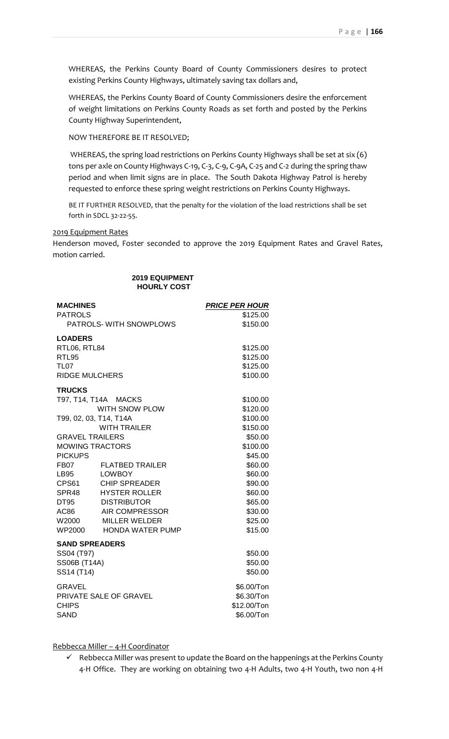WHEREAS, the Perkins County Board of County Commissioners desires to protect existing Perkins County Highways, ultimately saving tax dollars and,

WHEREAS, the Perkins County Board of County Commissioners desire the enforcement of weight limitations on Perkins County Roads as set forth and posted by the Perkins County Highway Superintendent,

NOW THEREFORE BE IT RESOLVED;

WHEREAS, the spring load restrictions on Perkins County Highways shall be set at six (6) tons per axle on County Highways C-19, C-3, C-9, C-9A, C-25 and C-2 during the spring thaw period and when limit signs are in place. The South Dakota Highway Patrol is hereby requested to enforce these spring weight restrictions on Perkins County Highways.

BE IT FURTHER RESOLVED, that the penalty for the violation of the load restrictions shall be set forth in SDCL 32-22-55.

# 2019 Equipment Rates

Henderson moved, Foster seconded to approve the 2019 Equipment Rates and Gravel Rates, motion carried.

# **2019 EQUIPMENT HOURLY COST**

| <b>MACHINES</b>        |                         | <b>PRICE PER HOUR</b> |
|------------------------|-------------------------|-----------------------|
| <b>PATROLS</b>         |                         | \$125.00              |
|                        | PATROLS- WITH SNOWPLOWS | \$150.00              |
| <b>LOADERS</b>         |                         |                       |
| RTL06, RTL84           |                         | \$125.00              |
| RTL95                  |                         | \$125.00              |
| <b>TL07</b>            |                         | \$125.00              |
| <b>RIDGE MULCHERS</b>  |                         | \$100.00              |
| <b>TRUCKS</b>          |                         |                       |
|                        | T97, T14, T14A MACKS    | \$100.00              |
|                        | <b>WITH SNOW PLOW</b>   | \$120.00              |
| T99, 02, 03, T14, T14A |                         | \$100.00              |
|                        | <b>WITH TRAILER</b>     | \$150.00              |
| <b>GRAVEL TRAILERS</b> |                         | \$50.00               |
| <b>MOWING TRACTORS</b> |                         | \$100.00              |
| <b>PICKUPS</b>         |                         | \$45.00               |
| FB07                   | <b>FLATBED TRAILER</b>  | \$60.00               |
| LB95 LOWBOY            |                         | \$60.00               |
|                        | CPS61 CHIP SPREADER     | \$90.00               |
|                        | SPR48 HYSTER ROLLER     | \$60.00               |
| <b>DT95</b>            | <b>DISTRIBUTOR</b>      | \$65.00               |
| AC86                   | AIR COMPRESSOR          | \$30.00               |
|                        | W2000 MILLER WELDER     | \$25.00               |
| WP2000                 | <b>HONDA WATER PUMP</b> | \$15.00               |
| <b>SAND SPREADERS</b>  |                         |                       |
| SS04 (T97)             |                         | \$50.00               |
| <b>SS06B (T14A)</b>    |                         | \$50.00               |
| SS14 (T14)             |                         | \$50.00               |
| <b>GRAVEL</b>          |                         | \$6.00/Ton            |
| PRIVATE SALE OF GRAVEL |                         | \$6.30/Ton            |
| <b>CHIPS</b>           |                         | \$12.00/Ton           |
| <b>SAND</b>            |                         | \$6.00/Ton            |
|                        |                         |                       |

Rebbecca Miller – 4-H Coordinator

 $\checkmark$  Rebbecca Miller was present to update the Board on the happenings at the Perkins County 4-H Office. They are working on obtaining two 4-H Adults, two 4-H Youth, two non 4-H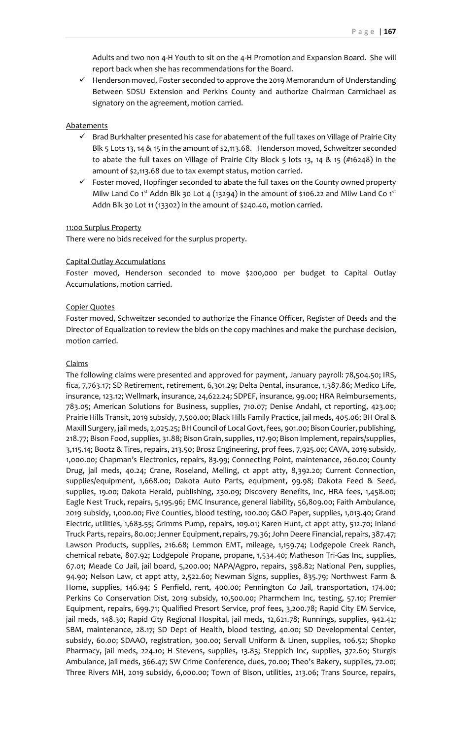Adults and two non 4-H Youth to sit on the 4-H Promotion and Expansion Board. She will report back when she has recommendations for the Board.

✓ Henderson moved, Foster seconded to approve the 2019 Memorandum of Understanding Between SDSU Extension and Perkins County and authorize Chairman Carmichael as signatory on the agreement, motion carried.

### **Abatements**

- ✓ Brad Burkhalter presented his case for abatement of the full taxes on Village of Prairie City Blk 5 Lots 13, 14 & 15 in the amount of \$2,113.68. Henderson moved, Schweitzer seconded to abate the full taxes on Village of Prairie City Block 5 lots 13, 14 & 15 (#16248) in the amount of \$2,113.68 due to tax exempt status, motion carried.
- ✓ Foster moved, Hopfinger seconded to abate the full taxes on the County owned property Milw Land Co 1<sup>st</sup> Addn Blk 30 Lot 4 (13294) in the amount of \$106.22 and Milw Land Co 1<sup>st</sup> Addn Blk 30 Lot 11 (13302) in the amount of \$240.40, motion carried.

### 11:00 Surplus Property

There were no bids received for the surplus property.

# Capital Outlay Accumulations

Foster moved, Henderson seconded to move \$200,000 per budget to Capital Outlay Accumulations, motion carried.

# Copier Quotes

Foster moved, Schweitzer seconded to authorize the Finance Officer, Register of Deeds and the Director of Equalization to review the bids on the copy machines and make the purchase decision, motion carried.

### Claims

The following claims were presented and approved for payment, January payroll: 78,504.50; IRS, fica, 7,763.17; SD Retirement, retirement, 6,301.29; Delta Dental, insurance, 1,387.86; Medico Life, insurance, 123.12; Wellmark, insurance, 24,622.24; SDPEF, insurance, 99.00; HRA Reimbursements, 783.05; American Solutions for Business, supplies, 710.07; Denise Andahl, ct reporting, 423.00; Prairie Hills Transit, 2019 subsidy, 7,500.00; Black Hills Family Practice, jail meds, 405.06; BH Oral & Maxill Surgery, jail meds, 2,025.25; BH Council of Local Govt, fees, 901.00; Bison Courier, publishing, 218.77; Bison Food, supplies, 31.88; Bison Grain, supplies, 117.90; Bison Implement, repairs/supplies, 3,115.14; Bootz & Tires, repairs, 213.50; Brosz Engineering, prof fees, 7,925.00; CAVA, 2019 subsidy, 1,000.00; Chapman's Electronics, repairs, 83.99; Connecting Point, maintenance, 260.00; County Drug, jail meds, 40.24; Crane, Roseland, Melling, ct appt atty, 8,392.20; Current Connection, supplies/equipment, 1,668.00; Dakota Auto Parts, equipment, 99.98; Dakota Feed & Seed, supplies, 19.00; Dakota Herald, publishing, 230.09; Discovery Benefits, Inc, HRA fees, 1,458.00; Eagle Nest Truck, repairs, 5,195.96; EMC Insurance, general liability, 56,809.00; Faith Ambulance, 2019 subsidy, 1,000.00; Five Counties, blood testing, 100.00; G&O Paper, supplies, 1,013.40; Grand Electric, utilities, 1,683.55; Grimms Pump, repairs, 109.01; Karen Hunt, ct appt atty, 512.70; Inland Truck Parts, repairs, 80.00; Jenner Equipment, repairs, 79.36; John Deere Financial, repairs, 387.47; Lawson Products, supplies, 216.68; Lemmon EMT, mileage, 1,159.74; Lodgepole Creek Ranch, chemical rebate, 807.92; Lodgepole Propane, propane, 1,534.40; Matheson Tri-Gas Inc, supplies, 67.01; Meade Co Jail, jail board, 5,200.00; NAPA/Agpro, repairs, 398.82; National Pen, supplies, 94.90; Nelson Law, ct appt atty, 2,522.60; Newman Signs, supplies, 835.79; Northwest Farm & Home, supplies, 146.94; S Penfield, rent, 400.00; Pennington Co Jail, transportation, 174.00; Perkins Co Conservation Dist, 2019 subsidy, 10,500.00; Pharmchem Inc, testing, 57.10; Premier Equipment, repairs, 699.71; Qualified Presort Service, prof fees, 3,200.78; Rapid City EM Service, jail meds, 148.30; Rapid City Regional Hospital, jail meds, 12,621.78; Runnings, supplies, 942.42; SBM, maintenance, 28.17; SD Dept of Health, blood testing, 40.00; SD Developmental Center, subsidy, 60.00; SDAAO, registration, 300.00; Servall Uniform & Linen, supplies, 106.52; Shopko Pharmacy, jail meds, 224.10; H Stevens, supplies, 13.83; Steppich Inc, supplies, 372.60; Sturgis Ambulance, jail meds, 366.47; SW Crime Conference, dues, 70.00; Theo's Bakery, supplies, 72.00; Three Rivers MH, 2019 subsidy, 6,000.00; Town of Bison, utilities, 213.06; Trans Source, repairs,